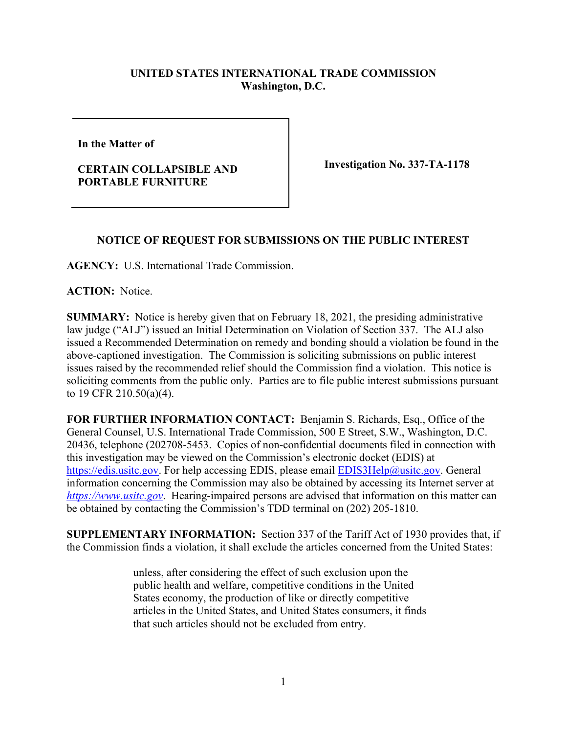## **UNITED STATES INTERNATIONAL TRADE COMMISSION Washington, D.C.**

**In the Matter of** 

## **CERTAIN COLLAPSIBLE AND PORTABLE FURNITURE**

**Investigation No. 337-TA-1178**

## **NOTICE OF REQUEST FOR SUBMISSIONS ON THE PUBLIC INTEREST**

**AGENCY:** U.S. International Trade Commission.

**ACTION:** Notice.

**SUMMARY:** Notice is hereby given that on February 18, 2021, the presiding administrative law judge ("ALJ") issued an Initial Determination on Violation of Section 337. The ALJ also issued a Recommended Determination on remedy and bonding should a violation be found in the above-captioned investigation. The Commission is soliciting submissions on public interest issues raised by the recommended relief should the Commission find a violation. This notice is soliciting comments from the public only. Parties are to file public interest submissions pursuant to 19 CFR 210.50(a)(4).

**FOR FURTHER INFORMATION CONTACT:** Benjamin S. Richards, Esq., Office of the General Counsel, U.S. International Trade Commission, 500 E Street, S.W., Washington, D.C. 20436, telephone (202708-5453. Copies of non-confidential documents filed in connection with this investigation may be viewed on the Commission's electronic docket (EDIS) at [https://edis.usitc.gov.](https://edis.usitc.gov/) For help accessing EDIS, please email **EDIS3Help@usitc.gov**. General information concerning the Commission may also be obtained by accessing its Internet server at *[https://www.usitc.gov](https://www.usitc.gov/)*. Hearing-impaired persons are advised that information on this matter can be obtained by contacting the Commission's TDD terminal on (202) 205-1810.

**SUPPLEMENTARY INFORMATION:** Section 337 of the Tariff Act of 1930 provides that, if the Commission finds a violation, it shall exclude the articles concerned from the United States:

> unless, after considering the effect of such exclusion upon the public health and welfare, competitive conditions in the United States economy, the production of like or directly competitive articles in the United States, and United States consumers, it finds that such articles should not be excluded from entry.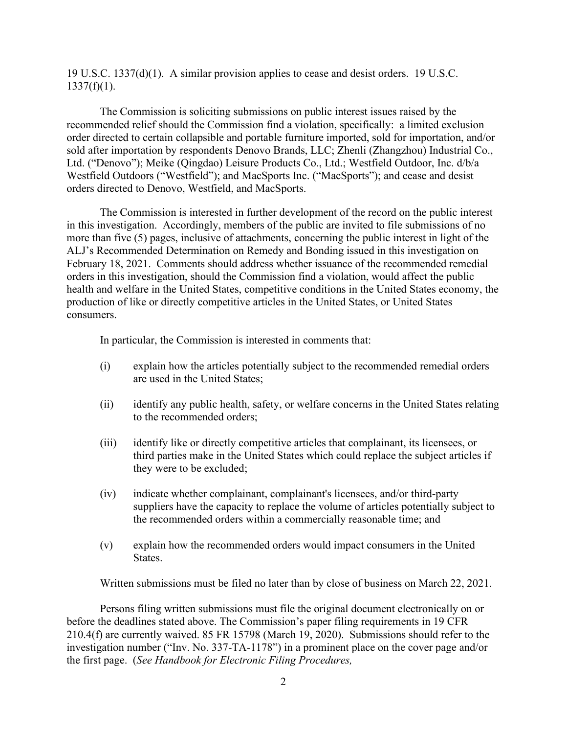19 U.S.C. 1337(d)(1). A similar provision applies to cease and desist orders. 19 U.S.C.  $1337(f)(1)$ .

The Commission is soliciting submissions on public interest issues raised by the recommended relief should the Commission find a violation, specifically: a limited exclusion order directed to certain collapsible and portable furniture imported, sold for importation, and/or sold after importation by respondents Denovo Brands, LLC; Zhenli (Zhangzhou) Industrial Co., Ltd. ("Denovo"); Meike (Qingdao) Leisure Products Co., Ltd.; Westfield Outdoor, Inc. d/b/a Westfield Outdoors ("Westfield"); and MacSports Inc. ("MacSports"); and cease and desist orders directed to Denovo, Westfield, and MacSports.

The Commission is interested in further development of the record on the public interest in this investigation. Accordingly, members of the public are invited to file submissions of no more than five (5) pages, inclusive of attachments, concerning the public interest in light of the ALJ's Recommended Determination on Remedy and Bonding issued in this investigation on February 18, 2021. Comments should address whether issuance of the recommended remedial orders in this investigation, should the Commission find a violation, would affect the public health and welfare in the United States, competitive conditions in the United States economy, the production of like or directly competitive articles in the United States, or United States consumers.

In particular, the Commission is interested in comments that:

- (i) explain how the articles potentially subject to the recommended remedial orders are used in the United States;
- (ii) identify any public health, safety, or welfare concerns in the United States relating to the recommended orders;
- (iii) identify like or directly competitive articles that complainant, its licensees, or third parties make in the United States which could replace the subject articles if they were to be excluded;
- (iv) indicate whether complainant, complainant's licensees, and/or third-party suppliers have the capacity to replace the volume of articles potentially subject to the recommended orders within a commercially reasonable time; and
- (v) explain how the recommended orders would impact consumers in the United States.

Written submissions must be filed no later than by close of business on March 22, 2021.

Persons filing written submissions must file the original document electronically on or before the deadlines stated above. The Commission's paper filing requirements in 19 CFR 210.4(f) are currently waived. 85 FR 15798 (March 19, 2020). Submissions should refer to the investigation number ("Inv. No. 337-TA-1178") in a prominent place on the cover page and/or the first page. (*See Handbook for Electronic Filing Procedures,*